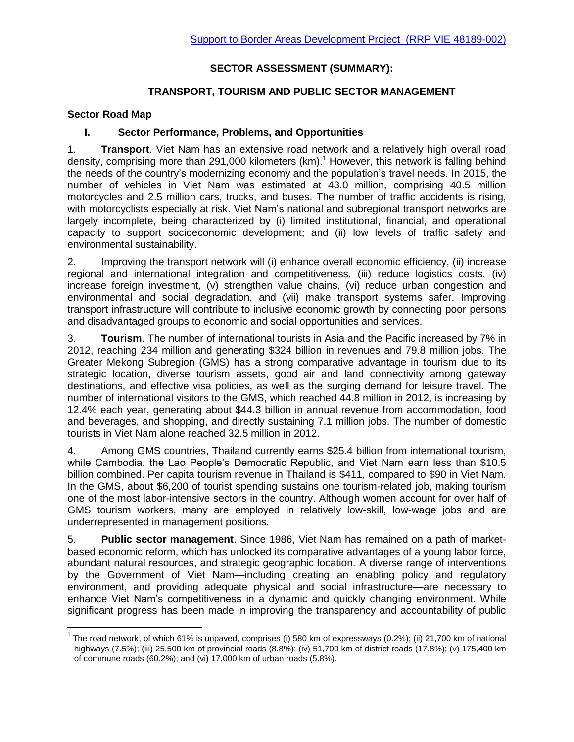# **[SECTOR ASSESSMENT \(SUMMARY\):](http://www.adb.org/projects/documents/greater-mekong-subregion-southern-coastal-corridor-project-1)**

## **TRANSPORT, TOURISM AND PUBLIC SECTOR MANAGEMENT**

## **Sector Road Map**

 $\overline{\phantom{a}}$ 

### **I. Sector Performance, Problems, and Opportunities**

1. **Transport**. Viet Nam has an extensive road network and a relatively high overall road density, comprising more than 291,000 kilometers  $(km)$ .<sup>1</sup> However, this network is falling behind the needs of the country's modernizing economy and the population's travel needs. In 2015, the number of vehicles in Viet Nam was estimated at 43.0 million, comprising 40.5 million motorcycles and 2.5 million cars, trucks, and buses. The number of traffic accidents is rising, with motorcyclists especially at risk. Viet Nam's national and subregional transport networks are largely incomplete, being characterized by (i) limited institutional, financial, and operational capacity to support socioeconomic development; and (ii) low levels of traffic safety and environmental sustainability.

2. Improving the transport network will (i) enhance overall economic efficiency, (ii) increase regional and international integration and competitiveness, (iii) reduce logistics costs, (iv) increase foreign investment, (v) strengthen value chains, (vi) reduce urban congestion and environmental and social degradation, and (vii) make transport systems safer. Improving transport infrastructure will contribute to inclusive economic growth by connecting poor persons and disadvantaged groups to economic and social opportunities and services.

3. **Tourism**. The number of international tourists in Asia and the Pacific increased by 7% in 2012, reaching 234 million and generating \$324 billion in revenues and 79.8 million jobs. The Greater Mekong Subregion (GMS) has a strong comparative advantage in tourism due to its strategic location, diverse tourism assets, good air and land connectivity among gateway destinations, and effective visa policies, as well as the surging demand for leisure travel. The number of international visitors to the GMS, which reached 44.8 million in 2012, is increasing by 12.4% each year, generating about \$44.3 billion in annual revenue from accommodation, food and beverages, and shopping, and directly sustaining 7.1 million jobs. The number of domestic tourists in Viet Nam alone reached 32.5 million in 2012.

4. Among GMS countries, Thailand currently earns \$25.4 billion from international tourism, while Cambodia, the Lao People's Democratic Republic, and Viet Nam earn less than \$10.5 billion combined. Per capita tourism revenue in Thailand is \$411, compared to \$90 in Viet Nam. In the GMS, about \$6,200 of tourist spending sustains one tourism-related job, making tourism one of the most labor-intensive sectors in the country. Although women account for over half of GMS tourism workers, many are employed in relatively low-skill, low-wage jobs and are underrepresented in management positions.

5. **Public sector management**. Since 1986, Viet Nam has remained on a path of marketbased economic reform, which has unlocked its comparative advantages of a young labor force, abundant natural resources, and strategic geographic location. A diverse range of interventions by the Government of Viet Nam—including creating an enabling policy and regulatory environment, and providing adequate physical and social infrastructure—are necessary to enhance Viet Nam's competitiveness in a dynamic and quickly changing environment. While significant progress has been made in improving the transparency and accountability of public

<sup>&</sup>lt;sup>1</sup> The road network, of which 61% is unpaved, comprises (i) 580 km of expressways (0.2%); (ii) 21,700 km of national highways (7.5%); (iii) 25,500 km of provincial roads (8.8%); (iv) 51,700 km of district roads (17.8%); (v) 175,400 km of commune roads (60.2%); and (vi) 17,000 km of urban roads (5.8%).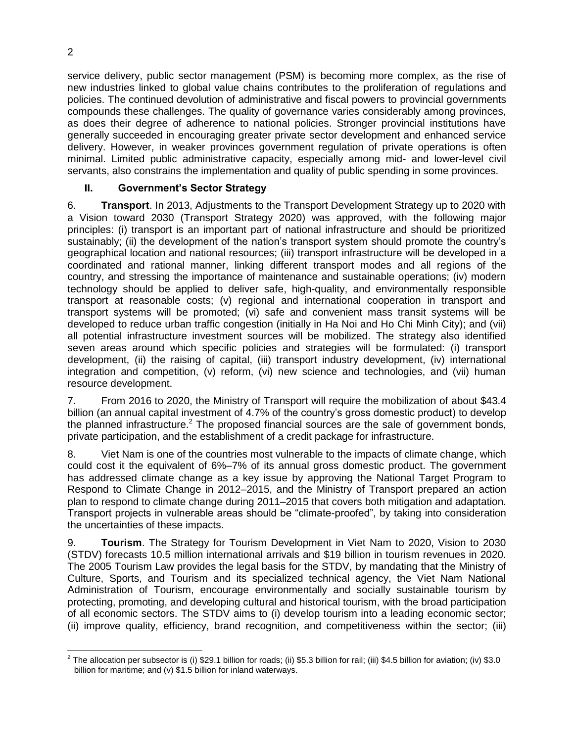service delivery, public sector management (PSM) is becoming more complex, as the rise of new industries linked to global value chains contributes to the proliferation of regulations and policies. The continued devolution of administrative and fiscal powers to provincial governments compounds these challenges. The quality of governance varies considerably among provinces, as does their degree of adherence to national policies. Stronger provincial institutions have generally succeeded in encouraging greater private sector development and enhanced service delivery. However, in weaker provinces government regulation of private operations is often minimal. Limited public administrative capacity, especially among mid- and lower-level civil servants, also constrains the implementation and quality of public spending in some provinces.

## **II. Government's Sector Strategy**

6. **Transport**. In 2013, Adjustments to the Transport Development Strategy up to 2020 with a Vision toward 2030 (Transport Strategy 2020) was approved, with the following major principles: (i) transport is an important part of national infrastructure and should be prioritized sustainably; (ii) the development of the nation's transport system should promote the country's geographical location and national resources; (iii) transport infrastructure will be developed in a coordinated and rational manner, linking different transport modes and all regions of the country, and stressing the importance of maintenance and sustainable operations; (iv) modern technology should be applied to deliver safe, high-quality, and environmentally responsible transport at reasonable costs; (v) regional and international cooperation in transport and transport systems will be promoted; (vi) safe and convenient mass transit systems will be developed to reduce urban traffic congestion (initially in Ha Noi and Ho Chi Minh City); and (vii) all potential infrastructure investment sources will be mobilized. The strategy also identified seven areas around which specific policies and strategies will be formulated: (i) transport development, (ii) the raising of capital, (iii) transport industry development, (iv) international integration and competition, (v) reform, (vi) new science and technologies, and (vii) human resource development.

7. From 2016 to 2020, the Ministry of Transport will require the mobilization of about \$43.4 billion (an annual capital investment of 4.7% of the country's gross domestic product) to develop the planned infrastructure.<sup>2</sup> The proposed financial sources are the sale of government bonds, private participation, and the establishment of a credit package for infrastructure.

8. Viet Nam is one of the countries most vulnerable to the impacts of climate change, which could cost it the equivalent of 6%–7% of its annual gross domestic product. The government has addressed climate change as a key issue by approving the National Target Program to Respond to Climate Change in 2012–2015, and the Ministry of Transport prepared an action plan to respond to climate change during 2011–2015 that covers both mitigation and adaptation. Transport projects in vulnerable areas should be "climate-proofed", by taking into consideration the uncertainties of these impacts.

9. **Tourism**. The Strategy for Tourism Development in Viet Nam to 2020, Vision to 2030 (STDV) forecasts 10.5 million international arrivals and \$19 billion in tourism revenues in 2020. The 2005 Tourism Law provides the legal basis for the STDV, by mandating that the Ministry of Culture, Sports, and Tourism and its specialized technical agency, the Viet Nam National Administration of Tourism, encourage environmentally and socially sustainable tourism by protecting, promoting, and developing cultural and historical tourism, with the broad participation of all economic sectors. The STDV aims to (i) develop tourism into a leading economic sector; (ii) improve quality, efficiency, brand recognition, and competitiveness within the sector; (iii)

 $^2$  The allocation per subsector is (i) \$29.1 billion for roads; (ii) \$5.3 billion for rail; (iii) \$4.5 billion for aviation; (iv) \$3.0  $^2$ billion for maritime; and (v) \$1.5 billion for inland waterways.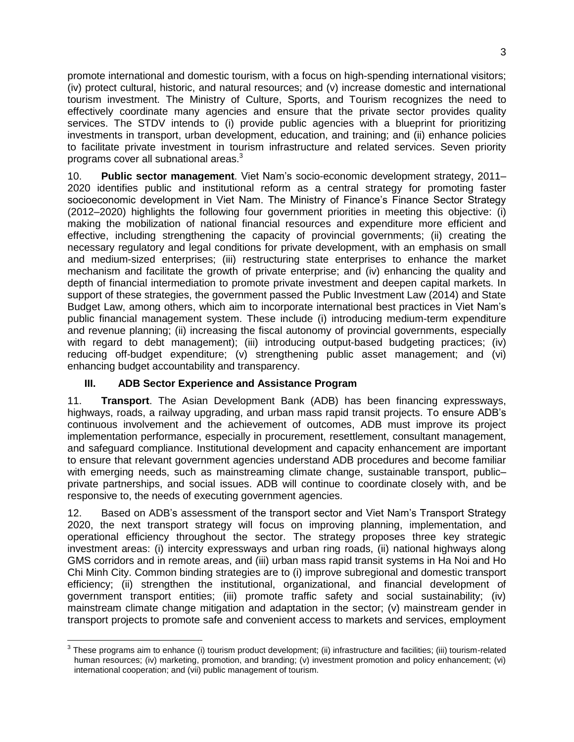promote international and domestic tourism, with a focus on high-spending international visitors; (iv) protect cultural, historic, and natural resources; and (v) increase domestic and international tourism investment. The Ministry of Culture, Sports, and Tourism recognizes the need to effectively coordinate many agencies and ensure that the private sector provides quality services. The STDV intends to (i) provide public agencies with a blueprint for prioritizing investments in transport, urban development, education, and training; and (ii) enhance policies to facilitate private investment in tourism infrastructure and related services. Seven priority programs cover all subnational areas.<sup>3</sup>

10. **Public sector management**. Viet Nam's socio-economic development strategy, 2011– 2020 identifies public and institutional reform as a central strategy for promoting faster socioeconomic development in Viet Nam. The Ministry of Finance's Finance Sector Strategy (2012–2020) highlights the following four government priorities in meeting this objective: (i) making the mobilization of national financial resources and expenditure more efficient and effective, including strengthening the capacity of provincial governments; (ii) creating the necessary regulatory and legal conditions for private development, with an emphasis on small and medium-sized enterprises; (iii) restructuring state enterprises to enhance the market mechanism and facilitate the growth of private enterprise; and (iv) enhancing the quality and depth of financial intermediation to promote private investment and deepen capital markets. In support of these strategies, the government passed the Public Investment Law (2014) and State Budget Law, among others, which aim to incorporate international best practices in Viet Nam's public financial management system. These include (i) introducing medium-term expenditure and revenue planning; (ii) increasing the fiscal autonomy of provincial governments, especially with regard to debt management); (iii) introducing output-based budgeting practices; (iv) reducing off-budget expenditure; (v) strengthening public asset management; and (vi) enhancing budget accountability and transparency.

### **III. ADB Sector Experience and Assistance Program**

11. **Transport**. The Asian Development Bank (ADB) has been financing expressways, highways, roads, a railway upgrading, and urban mass rapid transit projects. To ensure ADB's continuous involvement and the achievement of outcomes, ADB must improve its project implementation performance, especially in procurement, resettlement, consultant management, and safeguard compliance. Institutional development and capacity enhancement are important to ensure that relevant government agencies understand ADB procedures and become familiar with emerging needs, such as mainstreaming climate change, sustainable transport, publicprivate partnerships, and social issues. ADB will continue to coordinate closely with, and be responsive to, the needs of executing government agencies.

12. Based on ADB's assessment of the transport sector and Viet Nam's Transport Strategy 2020, the next transport strategy will focus on improving planning, implementation, and operational efficiency throughout the sector. The strategy proposes three key strategic investment areas: (i) intercity expressways and urban ring roads, (ii) national highways along GMS corridors and in remote areas, and (iii) urban mass rapid transit systems in Ha Noi and Ho Chi Minh City. Common binding strategies are to (i) improve subregional and domestic transport efficiency; (ii) strengthen the institutional, organizational, and financial development of government transport entities; (iii) promote traffic safety and social sustainability; (iv) mainstream climate change mitigation and adaptation in the sector; (v) mainstream gender in transport projects to promote safe and convenient access to markets and services, employment

l  $3$  These programs aim to enhance (i) tourism product development; (ii) infrastructure and facilities; (iii) tourism-related human resources; (iv) marketing, promotion, and branding; (v) investment promotion and policy enhancement; (vi) international cooperation; and (vii) public management of tourism.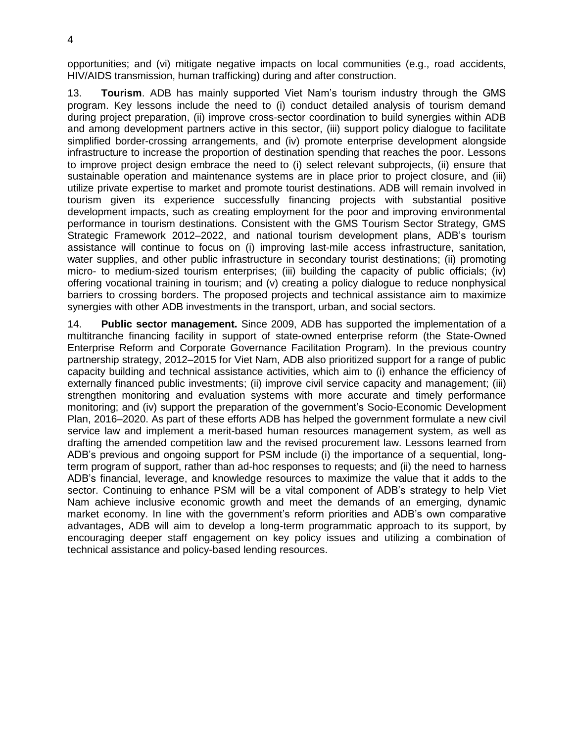opportunities; and (vi) mitigate negative impacts on local communities (e.g., road accidents, HIV/AIDS transmission, human trafficking) during and after construction.

13. **Tourism**. ADB has mainly supported Viet Nam's tourism industry through the GMS program. Key lessons include the need to (i) conduct detailed analysis of tourism demand during project preparation, (ii) improve cross-sector coordination to build synergies within ADB and among development partners active in this sector, (iii) support policy dialogue to facilitate simplified border-crossing arrangements, and (iv) promote enterprise development alongside infrastructure to increase the proportion of destination spending that reaches the poor. Lessons to improve project design embrace the need to (i) select relevant subprojects, (ii) ensure that sustainable operation and maintenance systems are in place prior to project closure, and (iii) utilize private expertise to market and promote tourist destinations. ADB will remain involved in tourism given its experience successfully financing projects with substantial positive development impacts, such as creating employment for the poor and improving environmental performance in tourism destinations. Consistent with the GMS Tourism Sector Strategy, GMS Strategic Framework 2012–2022, and national tourism development plans, ADB's tourism assistance will continue to focus on (i) improving last-mile access infrastructure, sanitation, water supplies, and other public infrastructure in secondary tourist destinations; (ii) promoting micro- to medium-sized tourism enterprises; (iii) building the capacity of public officials; (iv) offering vocational training in tourism; and (v) creating a policy dialogue to reduce nonphysical barriers to crossing borders. The proposed projects and technical assistance aim to maximize synergies with other ADB investments in the transport, urban, and social sectors.

14. **Public sector management.** Since 2009, ADB has supported the implementation of a multitranche financing facility in support of state-owned enterprise reform (the State-Owned Enterprise Reform and Corporate Governance Facilitation Program). In the previous country partnership strategy, 2012–2015 for Viet Nam, ADB also prioritized support for a range of public capacity building and technical assistance activities, which aim to (i) enhance the efficiency of externally financed public investments; (ii) improve civil service capacity and management; (iii) strengthen monitoring and evaluation systems with more accurate and timely performance monitoring; and (iv) support the preparation of the government's Socio-Economic Development Plan, 2016–2020. As part of these efforts ADB has helped the government formulate a new civil service law and implement a merit-based human resources management system, as well as drafting the amended competition law and the revised procurement law. Lessons learned from ADB's previous and ongoing support for PSM include (i) the importance of a sequential, longterm program of support, rather than ad-hoc responses to requests; and (ii) the need to harness ADB's financial, leverage, and knowledge resources to maximize the value that it adds to the sector. Continuing to enhance PSM will be a vital component of ADB's strategy to help Viet Nam achieve inclusive economic growth and meet the demands of an emerging, dynamic market economy. In line with the government's reform priorities and ADB's own comparative advantages, ADB will aim to develop a long-term programmatic approach to its support, by encouraging deeper staff engagement on key policy issues and utilizing a combination of technical assistance and policy-based lending resources.